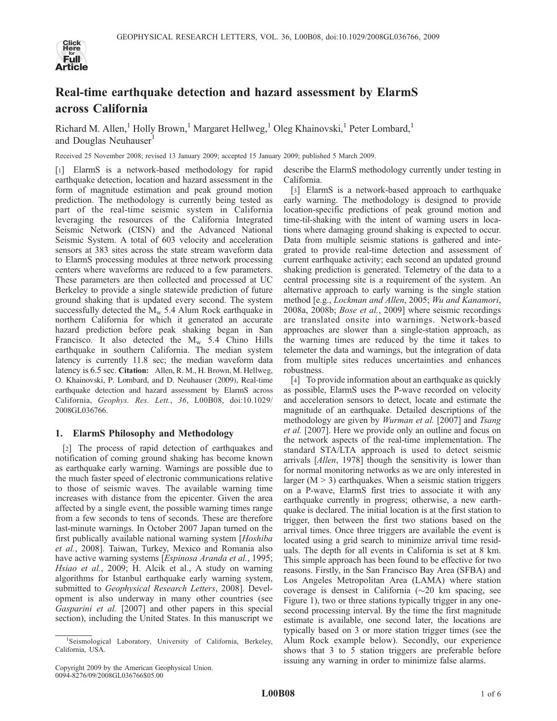

# Real-time earthquake detection and hazard assessment by ElarmS across California

Richard M. Allen,<sup>1</sup> Holly Brown,<sup>1</sup> Margaret Hellweg,<sup>1</sup> Oleg Khainovski,<sup>1</sup> Peter Lombard,<sup>1</sup> and Douglas Neuhauser<sup>1</sup>

Received 25 November 2008; revised 13 January 2009; accepted 15 January 2009; published 5 March 2009.

[1] ElarmS is a network-based methodology for rapid earthquake detection, location and hazard assessment in the form of magnitude estimation and peak ground motion prediction. The methodology is currently being tested as part of the real-time seismic system in California leveraging the resources of the California Integrated Seismic Network (CISN) and the Advanced National Seismic System. A total of 603 velocity and acceleration sensors at 383 sites across the state stream waveform data to ElarmS processing modules at three network processing centers where waveforms are reduced to a few parameters. These parameters are then collected and processed at UC Berkeley to provide a single statewide prediction of future ground shaking that is updated every second. The system successfully detected the  $M_w$  5.4 Alum Rock earthquake in northern California for which it generated an accurate hazard prediction before peak shaking began in San Francisco. It also detected the  $M_w$  5.4 Chino Hills earthquake in southern California. The median system latency is currently 11.8 sec; the median waveform data latency is 6.5 sec. Citation: Allen, R. M., H. Brown, M. Hellweg, O. Khainovski, P. Lombard, and D. Neuhauser (2009), Real-time earthquake detection and hazard assessment by ElarmS across California, Geophys. Res. Lett., 36, L00B08, doi:10.1029/ 2008GL036766.

# 1. ElarmS Philosophy and Methodology

[2] The process of rapid detection of earthquakes and notification of coming ground shaking has become known as earthquake early warning. Warnings are possible due to the much faster speed of electronic communications relative to those of seismic waves. The available warning time increases with distance from the epicenter. Given the area affected by a single event, the possible warning times range from a few seconds to tens of seconds. These are therefore last-minute warnings. In October 2007 Japan turned on the first publically available national warning system [Hoshiba et al., 2008]. Taiwan, Turkey, Mexico and Romania also have active warning systems [*Espinosa Aranda et al.*, 1995; Hsiao et al., 2009; H. Alcik et al., A study on warning algorithms for Istanbul earthquake early warning system, submitted to Geophysical Research Letters, 2008]. Development is also underway in many other countries (see Gasparini et al. [2007] and other papers in this special section), including the United States. In this manuscript we

describe the ElarmS methodology currently under testing in California.

[3] ElarmS is a network-based approach to earthquake early warning. The methodology is designed to provide location-specific predictions of peak ground motion and time-til-shaking with the intent of warning users in locations where damaging ground shaking is expected to occur. Data from multiple seismic stations is gathered and integrated to provide real-time detection and assessment of current earthquake activity; each second an updated ground shaking prediction is generated. Telemetry of the data to a central processing site is a requirement of the system. An alternative approach to early warning is the single station method [e.g., Lockman and Allen, 2005; Wu and Kanamori, 2008a, 2008b; Bose et al., 2009] where seismic recordings are translated onsite into warnings. Network-based approaches are slower than a single-station approach, as the warning times are reduced by the time it takes to telemeter the data and warnings, but the integration of data from multiple sites reduces uncertainties and enhances robustness.

[4] To provide information about an earthquake as quickly as possible, ElarmS uses the P-wave recorded on velocity and acceleration sensors to detect, locate and estimate the magnitude of an earthquake. Detailed descriptions of the methodology are given by *Wurman et al.* [2007] and *Tsang* et al. [2007]. Here we provide only an outline and focus on the network aspects of the real-time implementation. The standard STA/LTA approach is used to detect seismic arrivals [Allen, 1978] though the sensitivity is lower than for normal monitoring networks as we are only interested in larger  $(M > 3)$  earthquakes. When a seismic station triggers on a P-wave, ElarmS first tries to associate it with any earthquake currently in progress; otherwise, a new earthquake is declared. The initial location is at the first station to trigger, then between the first two stations based on the arrival times. Once three triggers are available the event is located using a grid search to minimize arrival time residuals. The depth for all events in California is set at 8 km. This simple approach has been found to be effective for two reasons. Firstly, in the San Francisco Bay Area (SFBA) and Los Angeles Metropolitan Area (LAMA) where station coverage is densest in California  $(\sim 20 \text{ km} \text{ spacing}, \text{ see}$ Figure 1), two or three stations typically trigger in any onesecond processing interval. By the time the first magnitude estimate is available, one second later, the locations are typically based on 3 or more station trigger times (see the Alum Rock example below). Secondly, our experience shows that 3 to 5 station triggers are preferable before issuing any warning in order to minimize false alarms.

<sup>&</sup>lt;sup>1</sup>Seismological Laboratory, University of California, Berkeley, California, USA.

Copyright 2009 by the American Geophysical Union. 0094-8276/09/2008GL036766\$05.00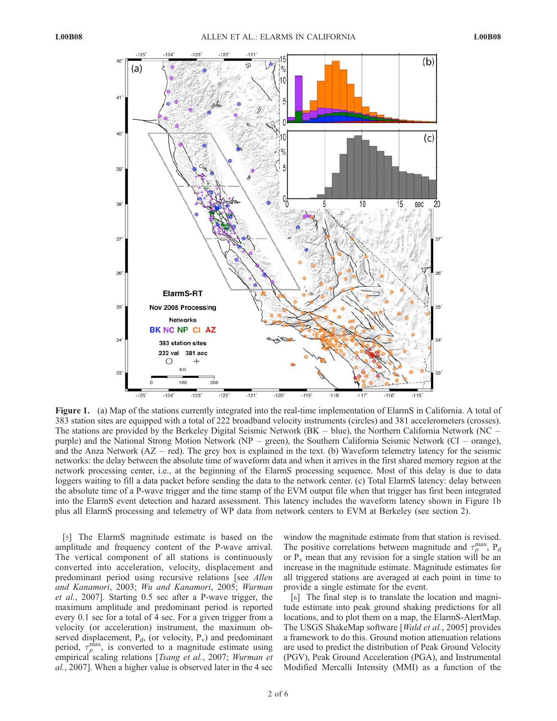

Figure 1. (a) Map of the stations currently integrated into the real-time implementation of ElarmS in California. A total of 383 station sites are equipped with a total of 222 broadband velocity instruments (circles) and 381 accelerometers (crosses). The stations are provided by the Berkeley Digital Seismic Network (BK – blue), the Northern California Network (NC – purple) and the National Strong Motion Network (NP – green), the Southern California Seismic Network (CI – orange), and the Anza Network  $(AZ - red)$ . The grey box is explained in the text. (b) Waveform telemetry latency for the seismic networks: the delay between the absolute time of waveform data and when it arrives in the first shared memory region at the network processing center, i.e., at the beginning of the ElarmS processing sequence. Most of this delay is due to data loggers waiting to fill a data packet before sending the data to the network center. (c) Total ElarmS latency: delay between the absolute time of a P-wave trigger and the time stamp of the EVM output file when that trigger has first been integrated into the ElarmS event detection and hazard assessment. This latency includes the waveform latency shown in Figure 1b plus all ElarmS processing and telemetry of WP data from network centers to EVM at Berkeley (see section 2).

[5] The ElarmS magnitude estimate is based on the amplitude and frequency content of the P-wave arrival. The vertical component of all stations is continuously converted into acceleration, velocity, displacement and predominant period using recursive relations [see Allen and Kanamori, 2003; Wu and Kanamori, 2005; Wurman et al., 2007]. Starting 0.5 sec after a P-wave trigger, the maximum amplitude and predominant period is reported every 0.1 sec for a total of 4 sec. For a given trigger from a velocity (or acceleration) instrument, the maximum observed displacement,  $P_d$ , (or velocity,  $P_v$ ) and predominant period,  $\tau_p^{\text{max}}$ , is converted to a magnitude estimate using empirical scaling relations [Tsang et al., 2007; Wurman et al., 2007]. When a higher value is observed later in the 4 sec

window the magnitude estimate from that station is revised. The positive correlations between magnitude and  $\tau_p^{\text{max}}$ , P<sub>d</sub> or  $P_v$  mean that any revision for a single station will be an increase in the magnitude estimate. Magnitude estimates for all triggered stations are averaged at each point in time to provide a single estimate for the event.

[6] The final step is to translate the location and magnitude estimate into peak ground shaking predictions for all locations, and to plot them on a map, the ElarmS-AlertMap. The USGS ShakeMap software [Wald et al., 2005] provides a framework to do this. Ground motion attenuation relations are used to predict the distribution of Peak Ground Velocity (PGV), Peak Ground Acceleration (PGA), and Instrumental Modified Mercalli Intensity (MMI) as a function of the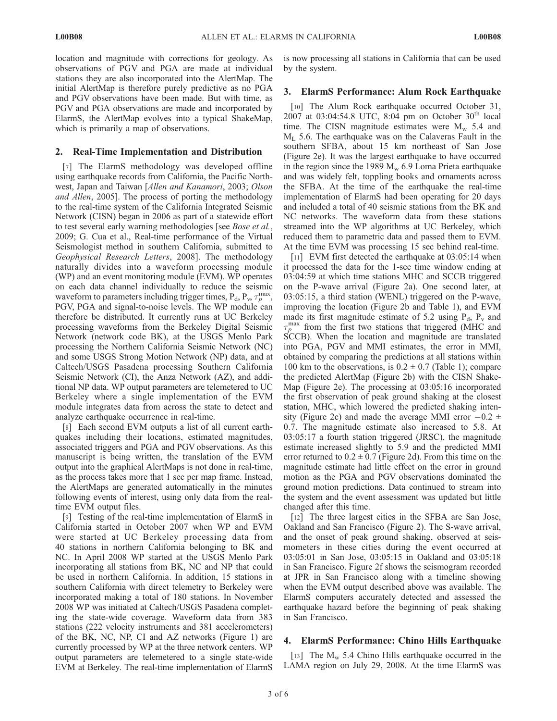location and magnitude with corrections for geology. As observations of PGV and PGA are made at individual stations they are also incorporated into the AlertMap. The initial AlertMap is therefore purely predictive as no PGA and PGV observations have been made. But with time, as PGV and PGA observations are made and incorporated by ElarmS, the AlertMap evolves into a typical ShakeMap, which is primarily a map of observations.

## 2. Real-Time Implementation and Distribution

[7] The ElarmS methodology was developed offline using earthquake records from California, the Pacific Northwest, Japan and Taiwan [Allen and Kanamori, 2003; Olson and Allen, 2005]. The process of porting the methodology to the real-time system of the California Integrated Seismic Network (CISN) began in 2006 as part of a statewide effort to test several early warning methodologies [see *Bose et al.*, 2009; G. Cua et al., Real-time performance of the Virtual Seismologist method in southern California, submitted to Geophysical Research Letters, 2008]. The methodology naturally divides into a waveform processing module (WP) and an event monitoring module (EVM). WP operates on each data channel individually to reduce the seismic waveform to parameters including trigger times,  $P_d$ ,  $P_v$ ,  $\tau_p^{\text{max}}$ , PGV, PGA and signal-to-noise levels. The WP module can therefore be distributed. It currently runs at UC Berkeley processing waveforms from the Berkeley Digital Seismic Network (network code BK), at the USGS Menlo Park processing the Northern California Seismic Network (NC) and some USGS Strong Motion Network (NP) data, and at Caltech/USGS Pasadena processing Southern California Seismic Network (CI), the Anza Network (AZ), and additional NP data. WP output parameters are telemetered to UC Berkeley where a single implementation of the EVM module integrates data from across the state to detect and analyze earthquake occurrence in real-time.

[8] Each second EVM outputs a list of all current earthquakes including their locations, estimated magnitudes, associated triggers and PGA and PGV observations. As this manuscript is being written, the translation of the EVM output into the graphical AlertMaps is not done in real-time, as the process takes more that 1 sec per map frame. Instead, the AlertMaps are generated automatically in the minutes following events of interest, using only data from the realtime EVM output files.

[9] Testing of the real-time implementation of ElarmS in California started in October 2007 when WP and EVM were started at UC Berkeley processing data from 40 stations in northern California belonging to BK and NC. In April 2008 WP started at the USGS Menlo Park incorporating all stations from BK, NC and NP that could be used in northern California. In addition, 15 stations in southern California with direct telemetry to Berkeley were incorporated making a total of 180 stations. In November 2008 WP was initiated at Caltech/USGS Pasadena completing the state-wide coverage. Waveform data from 383 stations (222 velocity instruments and 381 accelerometers) of the BK, NC, NP, CI and AZ networks (Figure 1) are currently processed by WP at the three network centers. WP output parameters are telemetered to a single state-wide EVM at Berkeley. The real-time implementation of ElarmS is now processing all stations in California that can be used by the system.

# 3. ElarmS Performance: Alum Rock Earthquake

[10] The Alum Rock earthquake occurred October 31, 2007 at 03:04:54.8 UTC, 8:04 pm on October  $30^{th}$  local time. The CISN magnitude estimates were  $M_{\rm w}$  5.4 and  $M<sub>L</sub>$  5.6. The earthquake was on the Calaveras Fault in the southern SFBA, about 15 km northeast of San Jose (Figure 2e). It was the largest earthquake to have occurred in the region since the 1989  $M_w$  6.9 Loma Prieta earthquake and was widely felt, toppling books and ornaments across the SFBA. At the time of the earthquake the real-time implementation of ElarmS had been operating for 20 days and included a total of 40 seismic stations from the BK and NC networks. The waveform data from these stations streamed into the WP algorithms at UC Berkeley, which reduced them to parametric data and passed them to EVM. At the time EVM was processing 15 sec behind real-time.

[11] EVM first detected the earthquake at 03:05:14 when it processed the data for the 1-sec time window ending at 03:04:59 at which time stations MHC and SCCB triggered on the P-wave arrival (Figure 2a). One second later, at 03:05:15, a third station (WENL) triggered on the P-wave, improving the location (Figure 2b and Table 1), and EVM made its first magnitude estimate of 5.2 using  $P_d$ ,  $P_v$  and  $\tau_p^{\text{max}}$  from the first two stations that triggered (MHC and SCCB). When the location and magnitude are translated into PGA, PGV and MMI estimates, the error in MMI, obtained by comparing the predictions at all stations within 100 km to the observations, is  $0.2 \pm 0.7$  (Table 1); compare the predicted AlertMap (Figure 2b) with the CISN Shake-Map (Figure 2e). The processing at 03:05:16 incorporated the first observation of peak ground shaking at the closest station, MHC, which lowered the predicted shaking intensity (Figure 2c) and made the average MMI error  $-0.2 \pm 1$ 0.7. The magnitude estimate also increased to 5.8. At 03:05:17 a fourth station triggered (JRSC), the magnitude estimate increased slightly to 5.9 and the predicted MMI error returned to  $0.2 \pm 0.7$  (Figure 2d). From this time on the magnitude estimate had little effect on the error in ground motion as the PGA and PGV observations dominated the ground motion predictions. Data continued to stream into the system and the event assessment was updated but little changed after this time.

[12] The three largest cities in the SFBA are San Jose, Oakland and San Francisco (Figure 2). The S-wave arrival, and the onset of peak ground shaking, observed at seismometers in these cities during the event occurred at 03:05:01 in San Jose, 03:05:15 in Oakland and 03:05:18 in San Francisco. Figure 2f shows the seismogram recorded at JPR in San Francisco along with a timeline showing when the EVM output described above was available. The ElarmS computers accurately detected and assessed the earthquake hazard before the beginning of peak shaking in San Francisco.

# 4. ElarmS Performance: Chino Hills Earthquake

[13] The  $M_w$  5.4 Chino Hills earthquake occurred in the LAMA region on July 29, 2008. At the time ElarmS was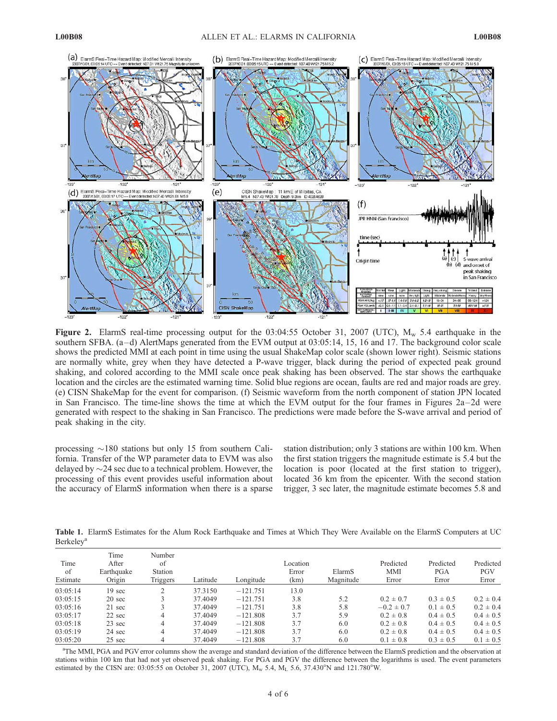

Figure 2. ElarmS real-time processing output for the 03:04:55 October 31, 2007 (UTC),  $M_w$  5.4 earthquake in the southern SFBA.  $(a-d)$  AlertMaps generated from the EVM output at  $03:05:14$ , 15, 16 and 17. The background color scale shows the predicted MMI at each point in time using the usual ShakeMap color scale (shown lower right). Seismic stations are normally white, grey when they have detected a P-wave trigger, black during the period of expected peak ground shaking, and colored according to the MMI scale once peak shaking has been observed. The star shows the earthquake location and the circles are the estimated warning time. Solid blue regions are ocean, faults are red and major roads are grey. (e) CISN ShakeMap for the event for comparison. (f) Seismic waveform from the north component of station JPN located in San Francisco. The time-line shows the time at which the EVM output for the four frames in Figures 2a–2d were generated with respect to the shaking in San Francisco. The predictions were made before the S-wave arrival and period of peak shaking in the city.

processing  $\sim$ 180 stations but only 15 from southern California. Transfer of the WP parameter data to EVM was also delayed by  $\sim$ 24 sec due to a technical problem. However, the processing of this event provides useful information about the accuracy of ElarmS information when there is a sparse station distribution; only 3 stations are within 100 km. When the first station triggers the magnitude estimate is 5.4 but the location is poor (located at the first station to trigger). located 36 km from the epicenter. With the second station trigger, 3 sec later, the magnitude estimate becomes 5.8 and

Table 1. ElarmS Estimates for the Alum Rock Earthquake and Times at Which They Were Available on the ElarmS Computers at UC **Berkeley**<sup>a</sup>

| Time<br>of<br>Estimate | Time<br>After<br>Earthquake<br>Origin | Number<br>of<br>Station<br>Triggers | Latitude | Longitude  | Location<br>Error<br>(km) | ElarmS<br>Magnitude | Predicted<br><b>MMI</b><br>Error | Predicted<br><b>PGA</b><br>Error | Predicted<br><b>PGV</b><br>Error |
|------------------------|---------------------------------------|-------------------------------------|----------|------------|---------------------------|---------------------|----------------------------------|----------------------------------|----------------------------------|
| 03:05:14               | $19 \text{ sec}$                      | $\gamma$                            | 37.3150  | $-121.751$ | 13.0                      |                     |                                  |                                  |                                  |
| 03:05:15               | $20 \text{ sec}$                      |                                     | 37.4049  | $-121.751$ | 3.8                       | 5.2                 | $0.2 \pm 0.7$                    | $0.3 \pm 0.5$                    | $0.2 \pm 0.4$                    |
| 03:05:16               | 21 sec                                |                                     | 37.4049  | $-121.751$ | 3.8                       | 5.8                 | $-0.2 \pm 0.7$                   | $0.1 \pm 0.5$                    | $0.2 \pm 0.4$                    |
| 03:05:17               | $22 \text{ sec}$                      | 4                                   | 37.4049  | $-121.808$ | 3.7                       | 5.9                 | $0.2 \pm 0.8$                    | $0.4 \pm 0.5$                    | $0.4 \pm 0.5$                    |
| 03:05:18               | $23 \text{ sec}$                      | 4                                   | 37.4049  | $-121.808$ | 3.7                       | 6.0                 | $0.2 \pm 0.8$                    | $0.4 \pm 0.5$                    | $0.4 \pm 0.5$                    |
| 03:05:19               | 24 sec                                | 4                                   | 37.4049  | $-121.808$ | 3.7                       | 6.0                 | $0.2 \pm 0.8$                    | $0.4 \pm 0.5$                    | $0.4 \pm 0.5$                    |
| 03:05:20               | $25 \text{ sec}$                      | 4                                   | 37.4049  | $-121.808$ | 3.7                       | 6.0                 | $0.1 \pm 0.8$                    | $0.3 \pm 0.5$                    | $0.1 \pm 0.5$                    |

a The MMI, PGA and PGV error columns show the average and standard deviation of the difference between the ElarmS prediction and the observation at stations within 100 km that had not yet observed peak shaking. For PGA and PGV the difference between the logarithms is used. The event parameters estimated by the CISN are: 03:05:55 on October 31, 2007 (UTC),  $M_w$  5.4,  $M_L$  5.6, 37.430°N and 121.780°W.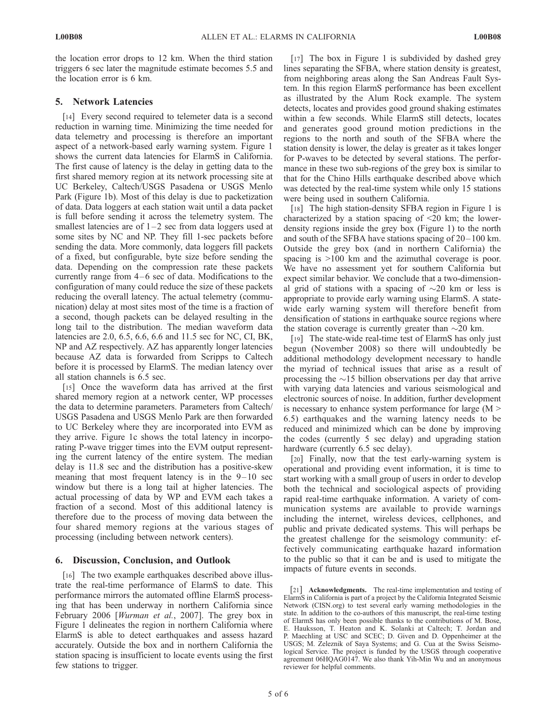the location error drops to 12 km. When the third station triggers 6 sec later the magnitude estimate becomes 5.5 and the location error is 6 km.

## 5. Network Latencies

[14] Every second required to telemeter data is a second reduction in warning time. Minimizing the time needed for data telemetry and processing is therefore an important aspect of a network-based early warning system. Figure 1 shows the current data latencies for ElarmS in California. The first cause of latency is the delay in getting data to the first shared memory region at its network processing site at UC Berkeley, Caltech/USGS Pasadena or USGS Menlo Park (Figure 1b). Most of this delay is due to packetization of data. Data loggers at each station wait until a data packet is full before sending it across the telemetry system. The smallest latencies are of  $1-2$  sec from data loggers used at some sites by NC and NP. They fill 1-sec packets before sending the data. More commonly, data loggers fill packets of a fixed, but configurable, byte size before sending the data. Depending on the compression rate these packets currently range from  $4-6$  sec of data. Modifications to the configuration of many could reduce the size of these packets reducing the overall latency. The actual telemetry (communication) delay at most sites most of the time is a fraction of a second, though packets can be delayed resulting in the long tail to the distribution. The median waveform data latencies are 2.0, 6.5, 6.6, 6.6 and 11.5 sec for NC, CI, BK, NP and AZ respectively. AZ has apparently longer latencies because AZ data is forwarded from Scripps to Caltech before it is processed by ElarmS. The median latency over all station channels is 6.5 sec.

[15] Once the waveform data has arrived at the first shared memory region at a network center, WP processes the data to determine parameters. Parameters from Caltech/ USGS Pasadena and USGS Menlo Park are then forwarded to UC Berkeley where they are incorporated into EVM as they arrive. Figure 1c shows the total latency in incorporating P-wave trigger times into the EVM output representing the current latency of the entire system. The median delay is 11.8 sec and the distribution has a positive-skew meaning that most frequent latency is in the  $9-10$  sec window but there is a long tail at higher latencies. The actual processing of data by WP and EVM each takes a fraction of a second. Most of this additional latency is therefore due to the process of moving data between the four shared memory regions at the various stages of processing (including between network centers).

#### 6. Discussion, Conclusion, and Outlook

[16] The two example earthquakes described above illustrate the real-time performance of ElarmS to date. This performance mirrors the automated offline ElarmS processing that has been underway in northern California since February 2006 [Wurman et al., 2007]. The grey box in Figure 1 delineates the region in northern California where ElarmS is able to detect earthquakes and assess hazard accurately. Outside the box and in northern California the station spacing is insufficient to locate events using the first few stations to trigger.

[17] The box in Figure 1 is subdivided by dashed grey lines separating the SFBA, where station density is greatest, from neighboring areas along the San Andreas Fault System. In this region ElarmS performance has been excellent as illustrated by the Alum Rock example. The system detects, locates and provides good ground shaking estimates within a few seconds. While ElarmS still detects, locates and generates good ground motion predictions in the regions to the north and south of the SFBA where the station density is lower, the delay is greater as it takes longer for P-waves to be detected by several stations. The performance in these two sub-regions of the grey box is similar to that for the Chino Hills earthquake described above which was detected by the real-time system while only 15 stations were being used in southern California.

[18] The high station-density SFBA region in Figure 1 is characterized by a station spacing of  $\leq 20$  km; the lowerdensity regions inside the grey box (Figure 1) to the north and south of the SFBA have stations spacing of  $20-100$  km. Outside the grey box (and in northern California) the spacing is  $>100$  km and the azimuthal coverage is poor. We have no assessment yet for southern California but expect similar behavior. We conclude that a two-dimensional grid of stations with a spacing of  $\sim$ 20 km or less is appropriate to provide early warning using ElarmS. A statewide early warning system will therefore benefit from densification of stations in earthquake source regions where the station coverage is currently greater than  $\sim$ 20 km.

[19] The state-wide real-time test of ElarmS has only just begun (November 2008) so there will undoubtedly be additional methodology development necessary to handle the myriad of technical issues that arise as a result of processing the  $\sim$ 15 billion observations per day that arrive with varying data latencies and various seismological and electronic sources of noise. In addition, further development is necessary to enhance system performance for large (M > 6.5) earthquakes and the warning latency needs to be reduced and minimized which can be done by improving the codes (currently 5 sec delay) and upgrading station hardware (currently 6.5 sec delay).

[20] Finally, now that the test early-warning system is operational and providing event information, it is time to start working with a small group of users in order to develop both the technical and sociological aspects of providing rapid real-time earthquake information. A variety of communication systems are available to provide warnings including the internet, wireless devices, cellphones, and public and private dedicated systems. This will perhaps be the greatest challenge for the seismology community: effectively communicating earthquake hazard information to the public so that it can be and is used to mitigate the impacts of future events in seconds.

[21] Acknowledgments. The real-time implementation and testing of ElarmS in California is part of a project by the California Integrated Seismic Network (CISN.org) to test several early warning methodologies in the state. In addition to the co-authors of this manuscript, the real-time testing of ElarmS has only been possible thanks to the contributions of M. Bose, E. Hauksson, T. Heaton and K. Solanki at Caltech; T. Jordan and P. Maechling at USC and SCEC; D. Given and D. Oppenheimer at the USGS; M. Zeleznik of Saya Systems; and G. Cua at the Swiss Seismological Service. The project is funded by the USGS through cooperative agreement 06HQAG0147. We also thank Yih-Min Wu and an anonymous reviewer for helpful comments.